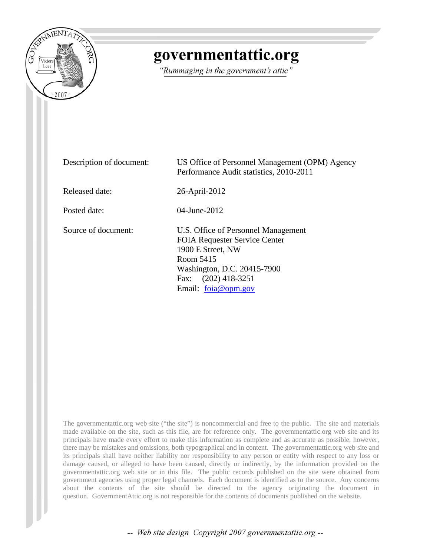

## governmentattic.org

"Rummaging in the government's attic"

Description of document: US Office of Personnel Management (OPM) Agency Performance Audit statistics, 2010-2011 Released date: 26-April-2012 Posted date: 04-June-2012 Source of document: U.S. Office of Personnel Management FOIA Requester Service Center 1900 E Street, NW Room 5415 Washington, D.C. 20415-7900 Fax: (202) 418-3251 Email: [foia@opm.gov](mailto:foia@opm.gov?subject=FOIA%20Request)

The governmentattic.org web site ("the site") is noncommercial and free to the public. The site and materials made available on the site, such as this file, are for reference only. The governmentattic.org web site and its principals have made every effort to make this information as complete and as accurate as possible, however, there may be mistakes and omissions, both typographical and in content. The governmentattic.org web site and its principals shall have neither liability nor responsibility to any person or entity with respect to any loss or damage caused, or alleged to have been caused, directly or indirectly, by the information provided on the governmentattic.org web site or in this file. The public records published on the site were obtained from government agencies using proper legal channels. Each document is identified as to the source. Any concerns about the contents of the site should be directed to the agency originating the document in question. GovernmentAttic.org is not responsible for the contents of documents published on the website.

-- Web site design Copyright 2007 governmentattic.org --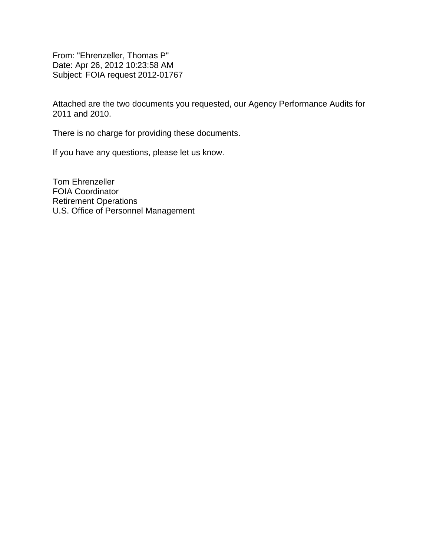From: "Ehrenzeller, Thomas P" Date: Apr 26, 2012 10:23:58 AM Subject: FOIA request 2012-01767

Attached are the two documents you requested, our Agency Performance Audits for 2011 and 2010.

There is no charge for providing these documents.

If you have any questions, please let us know.

Tom Ehrenzeller FOIA Coordinator Retirement Operations U.S. Office of Personnel Management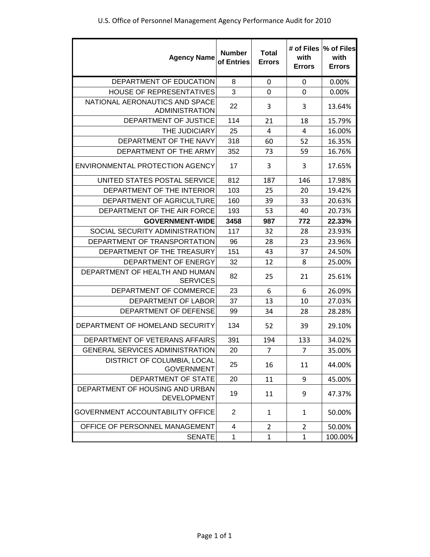| <b>Agency Name</b>                                      | <b>Number</b><br>of Entries | <b>Total</b><br><b>Errors</b> | # of Files<br>with<br><b>Errors</b> | % of Files<br>with<br><b>Errors</b> |
|---------------------------------------------------------|-----------------------------|-------------------------------|-------------------------------------|-------------------------------------|
| DEPARTMENT OF EDUCATION                                 | 8                           | 0                             | 0                                   | 0.00%                               |
| <b>HOUSE OF REPRESENTATIVES</b>                         | 3                           | $\mathbf 0$                   | 0                                   | 0.00%                               |
| NATIONAL AERONAUTICS AND SPACE<br><b>ADMINISTRATION</b> | 22                          | 3                             | 3                                   | 13.64%                              |
| DEPARTMENT OF JUSTICE                                   | 114                         | 21                            | 18                                  | 15.79%                              |
| THE JUDICIARY                                           | 25                          | $\overline{4}$                | 4                                   | 16.00%                              |
| DEPARTMENT OF THE NAVY                                  | 318                         | 60                            | 52                                  | 16.35%                              |
| DEPARTMENT OF THE ARMY                                  | 352                         | 73                            | 59                                  | 16.76%                              |
| ENVIRONMENTAL PROTECTION AGENCY                         | 17                          | 3                             | 3                                   | 17.65%                              |
| UNITED STATES POSTAL SERVICE                            | 812                         | 187                           | 146                                 | 17.98%                              |
| DEPARTMENT OF THE INTERIOR                              | 103                         | 25                            | 20                                  | 19.42%                              |
| DEPARTMENT OF AGRICULTURE                               | 160                         | 39                            | 33                                  | 20.63%                              |
| DEPARTMENT OF THE AIR FORCE                             | 193                         | 53                            | 40                                  | 20.73%                              |
| <b>GOVERNMENT-WIDE</b>                                  | 3458                        | 987                           | 772                                 | 22.33%                              |
| SOCIAL SECURITY ADMINISTRATION                          | 117                         | 32                            | 28                                  | 23.93%                              |
| DEPARTMENT OF TRANSPORTATION                            | 96                          | 28                            | 23                                  | 23.96%                              |
| DEPARTMENT OF THE TREASURY                              | 151                         | 43                            | 37                                  | 24.50%                              |
| DEPARTMENT OF ENERGY                                    | 32                          | 12                            | 8                                   | 25.00%                              |
| DEPARTMENT OF HEALTH AND HUMAN<br><b>SERVICES</b>       | 82                          | 25                            | 21                                  | 25.61%                              |
| DEPARTMENT OF COMMERCE                                  | 23                          | 6                             | 6                                   | 26.09%                              |
| DEPARTMENT OF LABOR                                     | 37                          | 13                            | 10                                  | 27.03%                              |
| DEPARTMENT OF DEFENSE                                   | 99                          | 34                            | 28                                  | 28.28%                              |
| DEPARTMENT OF HOMELAND SECURITY                         | 134                         | 52                            | 39                                  | 29.10%                              |
| DEPARTMENT OF VETERANS AFFAIRS                          | 391                         | 194                           | 133                                 | 34.02%                              |
| <b>GENERAL SERVICES ADMINISTRATION</b>                  | 20                          | $\overline{7}$                | $\overline{7}$                      | 35.00%                              |
| DISTRICT OF COLUMBIA, LOCAL<br><b>GOVERNMENT</b>        | 25                          | 16                            | 11                                  | 44.00%                              |
| DEPARTMENT OF STATE                                     | 20                          | 11                            | 9                                   | 45.00%                              |
| DEPARTMENT OF HOUSING AND URBAN<br><b>DEVELOPMENT</b>   | 19                          | 11                            | 9                                   | 47.37%                              |
| <b>GOVERNMENT ACCOUNTABILITY OFFICE</b>                 | 2                           | $\mathbf{1}$                  | 1                                   | 50.00%                              |
| OFFICE OF PERSONNEL MANAGEMENT                          | 4                           | $\overline{2}$                | $\overline{2}$                      | 50.00%                              |
| <b>SENATE</b>                                           | 1                           | 1                             | $\mathbf{1}$                        | 100.00%                             |